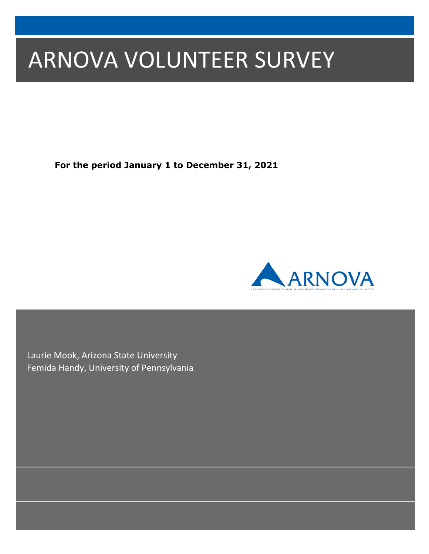# ARNOVA VOLUNTEER SURVEY

**For the period January 1 to December 31, 2021**



Laurie Mook, Arizona State University Femida Handy, University of Pennsylvania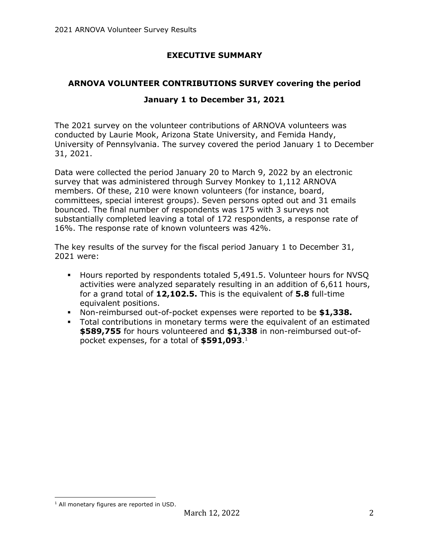# **EXECUTIVE SUMMARY**

# **ARNOVA VOLUNTEER CONTRIBUTIONS SURVEY covering the period**

## **January 1 to December 31, 2021**

The 2021 survey on the volunteer contributions of ARNOVA volunteers was conducted by Laurie Mook, Arizona State University, and Femida Handy, University of Pennsylvania. The survey covered the period January 1 to December 31, 2021.

Data were collected the period January 20 to March 9, 2022 by an electronic survey that was administered through Survey Monkey to 1,112 ARNOVA members. Of these, 210 were known volunteers (for instance, board, committees, special interest groups). Seven persons opted out and 31 emails bounced. The final number of respondents was 175 with 3 surveys not substantially completed leaving a total of 172 respondents, a response rate of 16%. The response rate of known volunteers was 42%.

The key results of the survey for the fiscal period January 1 to December 31, 2021 were:

- § Hours reported by respondents totaled 5,491.5. Volunteer hours for NVSQ activities were analyzed separately resulting in an addition of 6,611 hours, for a grand total of **12,102.5.** This is the equivalent of **5.8** full-time equivalent positions.
- § Non-reimbursed out-of-pocket expenses were reported to be **\$1,338.**
- Total contributions in monetary terms were the equivalent of an estimated **\$589,755** for hours volunteered and **\$1,338** in non-reimbursed out-ofpocket expenses, for a total of **\$591,093**.1

 $<sup>1</sup>$  All monetary figures are reported in USD.</sup>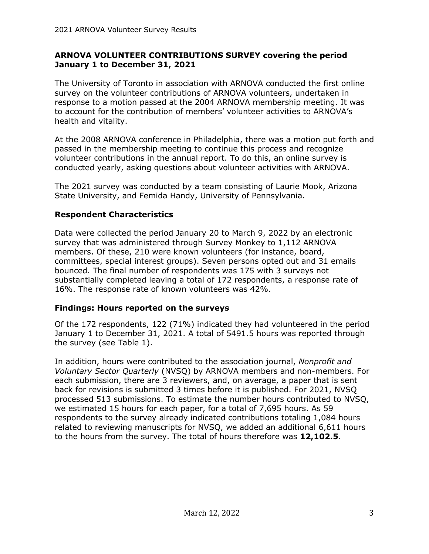#### **ARNOVA VOLUNTEER CONTRIBUTIONS SURVEY covering the period January 1 to December 31, 2021**

The University of Toronto in association with ARNOVA conducted the first online survey on the volunteer contributions of ARNOVA volunteers, undertaken in response to a motion passed at the 2004 ARNOVA membership meeting. It was to account for the contribution of members' volunteer activities to ARNOVA's health and vitality.

At the 2008 ARNOVA conference in Philadelphia, there was a motion put forth and passed in the membership meeting to continue this process and recognize volunteer contributions in the annual report. To do this, an online survey is conducted yearly, asking questions about volunteer activities with ARNOVA.

The 2021 survey was conducted by a team consisting of Laurie Mook, Arizona State University, and Femida Handy, University of Pennsylvania.

#### **Respondent Characteristics**

Data were collected the period January 20 to March 9, 2022 by an electronic survey that was administered through Survey Monkey to 1,112 ARNOVA members. Of these, 210 were known volunteers (for instance, board, committees, special interest groups). Seven persons opted out and 31 emails bounced. The final number of respondents was 175 with 3 surveys not substantially completed leaving a total of 172 respondents, a response rate of 16%. The response rate of known volunteers was 42%.

## **Findings: Hours reported on the surveys**

Of the 172 respondents, 122 (71%) indicated they had volunteered in the period January 1 to December 31, 2021. A total of 5491.5 hours was reported through the survey (see Table 1).

In addition, hours were contributed to the association journal, *Nonprofit and Voluntary Sector Quarterly* (NVSQ) by ARNOVA members and non-members. For each submission, there are 3 reviewers, and, on average, a paper that is sent back for revisions is submitted 3 times before it is published. For 2021, NVSQ processed 513 submissions. To estimate the number hours contributed to NVSQ, we estimated 15 hours for each paper, for a total of 7,695 hours. As 59 respondents to the survey already indicated contributions totaling 1,084 hours related to reviewing manuscripts for NVSQ, we added an additional 6,611 hours to the hours from the survey. The total of hours therefore was **12,102.5**.